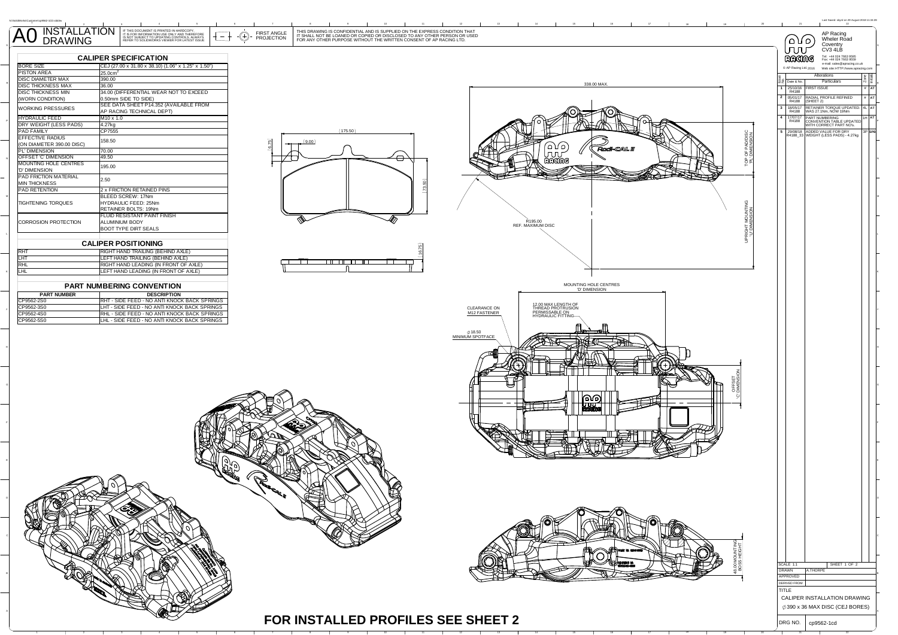